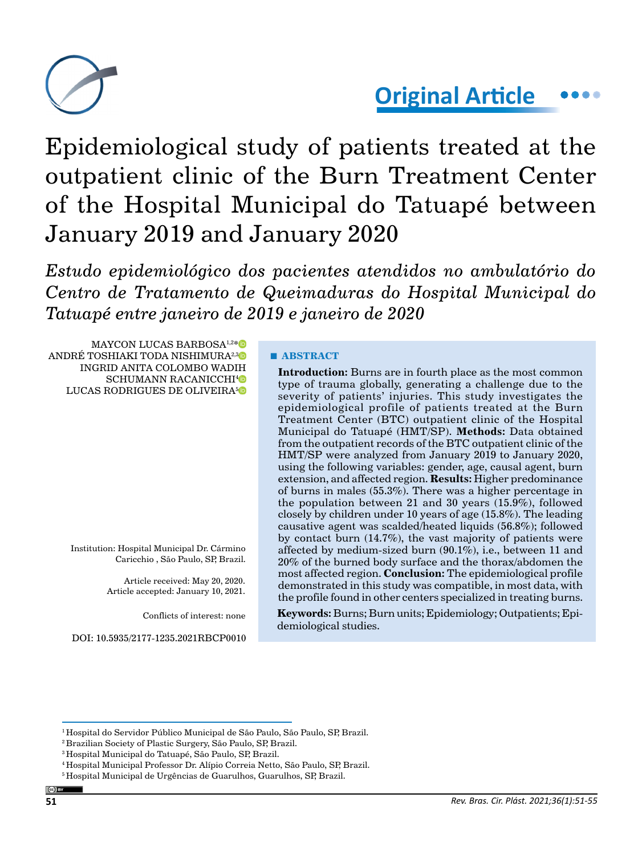

# **Original Article**

Epidemiological study of patients treated at the outpatient clinic of the Burn Treatment Center of the Hospital Municipal do Tatuapé between January 2019 and January 2020

*Estudo epidemiológico dos pacientes atendidos no ambulatório do Centro de Tratamento de Queimaduras do Hospital Municipal do Tatuapé entre janeiro de 2019 e janeiro de 2020*

MAYCON LUCAS BARBOSA<sup>1,2[\\*](https://orcid.org/0000-0002-5399-3996)</sup><sup>D</sup> ANDRÉ TOSHIAKI TODA NISHIMURA<sup>2,[3](https://orcid.org/0000-0003-4069-5233)</sup> INGRID ANITA COLOMBO WADIH SCHUMANN RACANICCHI<sup>[4](https://orcid.org/0000-0002-6545-5925)</sup>D LUCAS RODRIGUES DE OLIVEIRA<sup>[5](https://orcid.org/0000-0001-7057-4139)0</sup>

> Institution: Hospital Municipal Dr. Cármino Caricchio , São Paulo, SP, Brazil.

> > Article received: May 20, 2020. Article accepted: January 10, 2021.

> > > Conflicts of interest: none

DOI: 10.5935/2177-1235.2021RBCP0010

# **■ ABSTRACT**

**Introduction:** Burns are in fourth place as the most common type of trauma globally, generating a challenge due to the severity of patients' injuries. This study investigates the epidemiological profile of patients treated at the Burn Treatment Center (BTC) outpatient clinic of the Hospital Municipal do Tatuapé (HMT/SP). **Methods:** Data obtained from the outpatient records of the BTC outpatient clinic of the HMT/SP were analyzed from January 2019 to January 2020, using the following variables: gender, age, causal agent, burn extension, and affected region. **Results:** Higher predominance of burns in males (55.3%). There was a higher percentage in the population between 21 and 30 years (15.9%), followed closely by children under 10 years of age (15.8%). The leading causative agent was scalded/heated liquids (56.8%); followed by contact burn (14.7%), the vast majority of patients were affected by medium-sized burn (90.1%), i.e., between 11 and 20% of the burned body surface and the thorax/abdomen the most affected region. **Conclusion:** The epidemiological profile demonstrated in this study was compatible, in most data, with the profile found in other centers specialized in treating burns.

**Keywords:** Burns; Burn units; Epidemiology; Outpatients; Epidemiological studies.

<sup>&</sup>lt;sup>1</sup> Hospital do Servidor Público Municipal de São Paulo, São Paulo, SP, Brazil.

<sup>2</sup> Brazilian Society of Plastic Surgery, São Paulo, SP, Brazil.

<sup>3</sup> Hospital Municipal do Tatuapé, São Paulo, SP, Brazil.

<sup>4</sup> Hospital Municipal Professor Dr. Alípio Correia Netto, São Paulo, SP, Brazil.

<sup>&</sup>lt;sup>5</sup> Hospital Municipal de Urgências de Guarulhos, Guarulhos, SP, Brazil.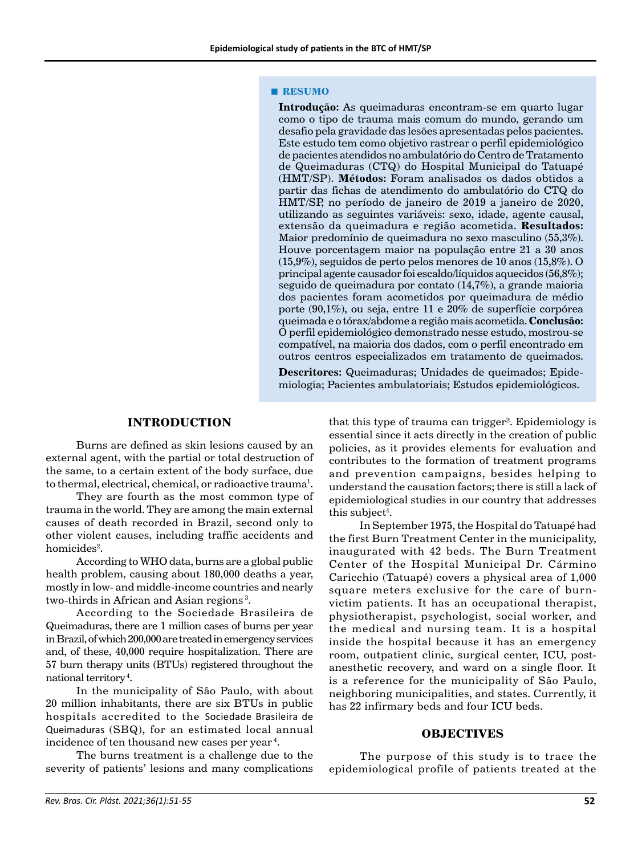#### **■ RESUMO**

**Introdução:** As queimaduras encontram-se em quarto lugar como o tipo de trauma mais comum do mundo, gerando um desafio pela gravidade das lesões apresentadas pelos pacientes. Este estudo tem como objetivo rastrear o perfil epidemiológico de pacientes atendidos no ambulatório do Centro de Tratamento de Queimaduras (CTQ) do Hospital Municipal do Tatuapé (HMT/SP). **Métodos:** Foram analisados os dados obtidos a partir das fichas de atendimento do ambulatório do CTQ do HMT/SP, no período de janeiro de 2019 a janeiro de 2020, utilizando as seguintes variáveis: sexo, idade, agente causal, extensão da queimadura e região acometida. **Resultados:**  Maior predomínio de queimadura no sexo masculino (55,3%). Houve porcentagem maior na população entre 21 a 30 anos (15,9%), seguidos de perto pelos menores de 10 anos (15,8%). O principal agente causador foi escaldo/líquidos aquecidos (56,8%); seguido de queimadura por contato (14,7%), a grande maioria dos pacientes foram acometidos por queimadura de médio porte (90,1%), ou seja, entre 11 e 20% de superfície corpórea queimada e o tórax/abdome a região mais acometida. **Conclusão:** O perfil epidemiológico demonstrado nesse estudo, mostrou-se compatível, na maioria dos dados, com o perfil encontrado em outros centros especializados em tratamento de queimados.

**Descritores:** Queimaduras; Unidades de queimados; Epidemiologia; Pacientes ambulatoriais; Estudos epidemiológicos.

# **INTRODUCTION**

Burns are defined as skin lesions caused by an external agent, with the partial or total destruction of the same, to a certain extent of the body surface, due to thermal, electrical, chemical, or radioactive trauma $^{\rm l}$ .

They are fourth as the most common type of trauma in the world. They are among the main external causes of death recorded in Brazil, second only to other violent causes, including traffic accidents and  ${\rm homicides^2}.$ 

According to WHO data, burns are a global public health problem, causing about 180,000 deaths a year, mostly in low- and middle-income countries and nearly two-thirds in African and Asian regions 3.

According to the Sociedade Brasileira de Queimaduras, there are 1 million cases of burns per year in Brazil, of which 200,000 are treated in emergency services and, of these, 40,000 require hospitalization. There are 57 burn therapy units (BTUs) registered throughout the national territory 4.

In the municipality of São Paulo, with about 20 million inhabitants, there are six BTUs in public hospitals accredited to the Sociedade Brasileira de Queimaduras (SBQ), for an estimated local annual incidence of ten thousand new cases per year 4.

The burns treatment is a challenge due to the severity of patients' lesions and many complications that this type of trauma can trigger<sup>2</sup>. Epidemiology is essential since it acts directly in the creation of public policies, as it provides elements for evaluation and contributes to the formation of treatment programs and prevention campaigns, besides helping to understand the causation factors; there is still a lack of epidemiological studies in our country that addresses this subject<sup>4</sup>.

In September 1975, the Hospital do Tatuapé had the first Burn Treatment Center in the municipality, inaugurated with 42 beds. The Burn Treatment Center of the Hospital Municipal Dr. Cármino Caricchio (Tatuapé) covers a physical area of 1,000 square meters exclusive for the care of burnvictim patients. It has an occupational therapist, physiotherapist, psychologist, social worker, and the medical and nursing team. It is a hospital inside the hospital because it has an emergency room, outpatient clinic, surgical center, ICU, postanesthetic recovery, and ward on a single floor. It is a reference for the municipality of São Paulo, neighboring municipalities, and states. Currently, it has 22 infirmary beds and four ICU beds.

#### **OBJECTIVES**

The purpose of this study is to trace the epidemiological profile of patients treated at the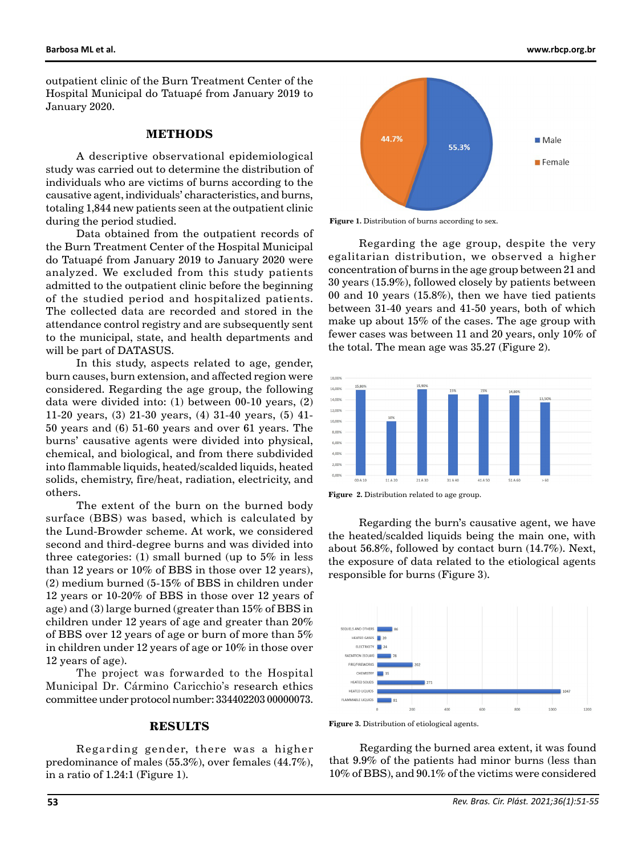outpatient clinic of the Burn Treatment Center of the Hospital Municipal do Tatuapé from January 2019 to January 2020.

# **METHODS**

A descriptive observational epidemiological study was carried out to determine the distribution of individuals who are victims of burns according to the causative agent, individuals' characteristics, and burns, totaling 1,844 new patients seen at the outpatient clinic during the period studied.

Data obtained from the outpatient records of the Burn Treatment Center of the Hospital Municipal do Tatuapé from January 2019 to January 2020 were analyzed. We excluded from this study patients admitted to the outpatient clinic before the beginning of the studied period and hospitalized patients. The collected data are recorded and stored in the attendance control registry and are subsequently sent to the municipal, state, and health departments and will be part of DATASUS.

In this study, aspects related to age, gender, burn causes, burn extension, and affected region were considered. Regarding the age group, the following data were divided into: (1) between 00-10 years, (2) 11-20 years, (3) 21-30 years, (4) 31-40 years, (5) 41- 50 years and (6) 51-60 years and over 61 years. The burns' causative agents were divided into physical, chemical, and biological, and from there subdivided into flammable liquids, heated/scalded liquids, heated solids, chemistry, fire/heat, radiation, electricity, and others.

The extent of the burn on the burned body surface (BBS) was based, which is calculated by the Lund-Browder scheme. At work, we considered second and third-degree burns and was divided into three categories: (1) small burned (up to  $5\%$  in less than 12 years or 10% of BBS in those over 12 years), (2) medium burned (5-15% of BBS in children under 12 years or 10-20% of BBS in those over 12 years of age) and (3) large burned (greater than 15% of BBS in children under 12 years of age and greater than 20% of BBS over 12 years of age or burn of more than 5% in children under 12 years of age or 10% in those over 12 years of age).

The project was forwarded to the Hospital Municipal Dr. Cármino Caricchio's research ethics committee under protocol number: 334402203 00000073.

#### **RESULTS**

Regarding gender, there was a higher predominance of males (55.3%), over females (44.7%), in a ratio of 1.24:1 (Figure 1).



Figure 1. Distribution of burns according to sex.

Regarding the age group, despite the very egalitarian distribution, we observed a higher concentration of burns in the age group between 21 and 30 years (15.9%), followed closely by patients between 00 and 10 years (15.8%), then we have tied patients between 31-40 years and 41-50 years, both of which make up about 15% of the cases. The age group with fewer cases was between 11 and 20 years, only 10% of the total. The mean age was 35.27 (Figure 2).



**Figure 2.** Distribution related to age group.

Regarding the burn's causative agent, we have the heated/scalded liquids being the main one, with about 56.8%, followed by contact burn (14.7%). Next, the exposure of data related to the etiological agents responsible for burns (Figure 3).



**Figure 3.** Distribution of etiological agents.

Regarding the burned area extent, it was found that 9.9% of the patients had minor burns (less than 10% of BBS), and 90.1% of the victims were considered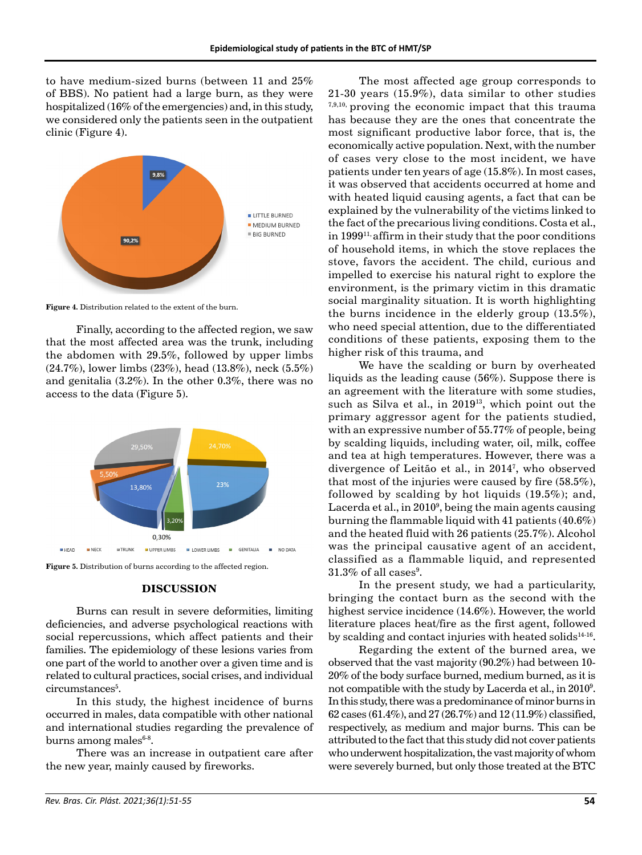to have medium-sized burns (between 11 and 25% of BBS). No patient had a large burn, as they were hospitalized (16% of the emergencies) and, in this study, we considered only the patients seen in the outpatient clinic (Figure 4).



**Figure 4.** Distribution related to the extent of the burn.

Finally, according to the affected region, we saw that the most affected area was the trunk, including the abdomen with 29.5%, followed by upper limbs (24.7%), lower limbs (23%), head (13.8%), neck (5.5%) and genitalia (3.2%). In the other 0.3%, there was no access to the data (Figure 5).



**Figure 5.** Distribution of burns according to the affected region.

#### **DISCUSSION**

Burns can result in severe deformities, limiting deficiencies, and adverse psychological reactions with social repercussions, which affect patients and their families. The epidemiology of these lesions varies from one part of the world to another over a given time and is related to cultural practices, social crises, and individual circumstances<sup>5</sup>.

In this study, the highest incidence of burns occurred in males, data compatible with other national and international studies regarding the prevalence of burns among males $6-8$ .

There was an increase in outpatient care after the new year, mainly caused by fireworks.

The most affected age group corresponds to 21-30 years (15.9%), data similar to other studies 7,9,10, proving the economic impact that this trauma has because they are the ones that concentrate the most significant productive labor force, that is, the economically active population. Next, with the number of cases very close to the most incident, we have patients under ten years of age (15.8%). In most cases, it was observed that accidents occurred at home and with heated liquid causing agents, a fact that can be explained by the vulnerability of the victims linked to the fact of the precarious living conditions. Costa et al., in 1999<sup>11,</sup> affirm in their study that the poor conditions of household items, in which the stove replaces the stove, favors the accident. The child, curious and impelled to exercise his natural right to explore the environment, is the primary victim in this dramatic social marginality situation. It is worth highlighting the burns incidence in the elderly group (13.5%), who need special attention, due to the differentiated conditions of these patients, exposing them to the higher risk of this trauma, and

We have the scalding or burn by overheated liquids as the leading cause (56%). Suppose there is an agreement with the literature with some studies, such as Silva et al., in 201913, which point out the primary aggressor agent for the patients studied, with an expressive number of 55.77% of people, being by scalding liquids, including water, oil, milk, coffee and tea at high temperatures. However, there was a divergence of Leitão et al., in 20147 , who observed that most of the injuries were caused by fire (58.5%), followed by scalding by hot liquids (19.5%); and, Lacerda et al., in 20109 , being the main agents causing burning the flammable liquid with 41 patients (40.6%) and the heated fluid with 26 patients (25.7%). Alcohol was the principal causative agent of an accident, classified as a flammable liquid, and represented  $31.3\%$  of all cases<sup>9</sup>.

In the present study, we had a particularity, bringing the contact burn as the second with the highest service incidence (14.6%). However, the world literature places heat/fire as the first agent, followed by scalding and contact injuries with heated solids $14-16$ .

Regarding the extent of the burned area, we observed that the vast majority (90.2%) had between 10- 20% of the body surface burned, medium burned, as it is not compatible with the study by Lacerda et al., in 2010<sup>9</sup>. In this study, there was a predominance of minor burns in 62 cases (61.4%), and 27 (26.7%) and 12 (11.9%) classified, respectively, as medium and major burns. This can be attributed to the fact that this study did not cover patients who underwent hospitalization, the vast majority of whom were severely burned, but only those treated at the BTC